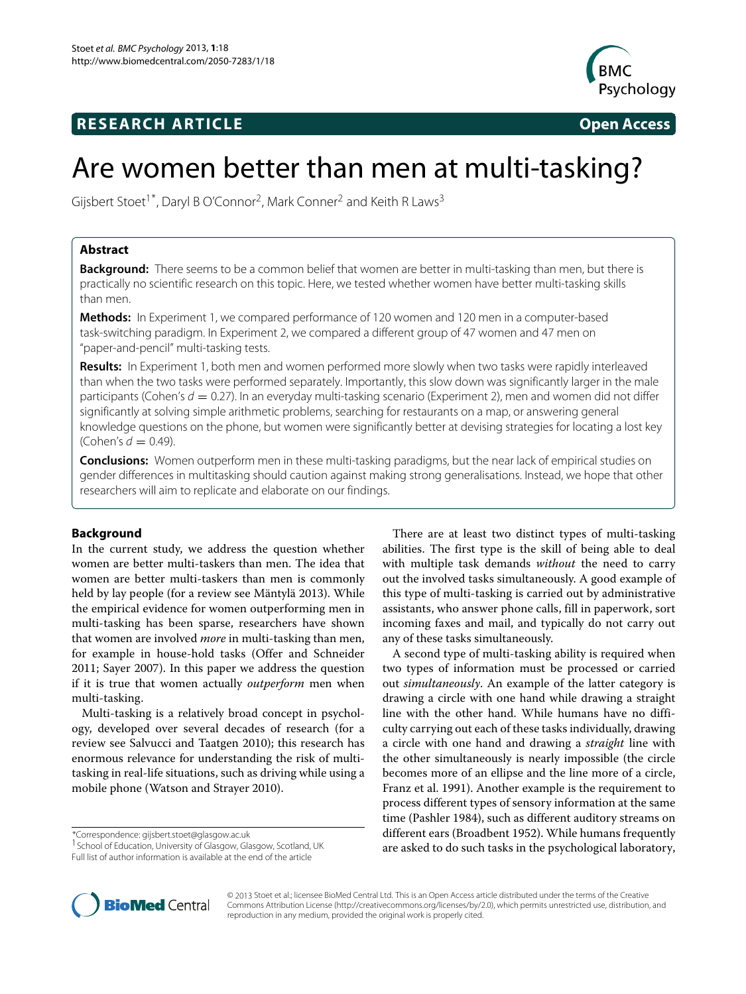# **RESEARCH ARTICLE Open Access**



# Are women better than men at multi-tasking?

Gijsbert Stoet<sup>1\*</sup>, Daryl B O'Connor<sup>2</sup>, Mark Conner<sup>2</sup> and Keith R Laws<sup>3</sup>

# **Abstract**

**Background:** There seems to be a common belief that women are better in multi-tasking than men, but there is practically no scientific research on this topic. Here, we tested whether women have better multi-tasking skills than men.

**Methods:** In Experiment [1,](#page-1-0) we compared performance of 120 women and 120 men in a computer-based task-switching paradigm. In Experiment [2,](#page-4-0) we compared a different group of 47 women and 47 men on "paper-and-pencil" multi-tasking tests.

**Results:** In Experiment [1,](#page-1-0) both men and women performed more slowly when two tasks were rapidly interleaved than when the two tasks were performed separately. Importantly, this slow down was significantly larger in the male participants (Cohen's  $d = 0.27$ ). In an everyday multi-tasking scenario (Experiment [2\)](#page-4-0), men and women did not differ significantly at solving simple arithmetic problems, searching for restaurants on a map, or answering general knowledge questions on the phone, but women were significantly better at devising strategies for locating a lost key (Cohen's  $d = 0.49$ ).

**Conclusions:** Women outperform men in these multi-tasking paradigms, but the near lack of empirical studies on gender differences in multitasking should caution against making strong generalisations. Instead, we hope that other researchers will aim to replicate and elaborate on our findings.

# **Background**

In the current study, we address the question whether women are better multi-taskers than men. The idea that women are better multi-taskers than men is commonly held by lay people (for a review see Mäntylä [2013\)](#page-8-0). While the empirical evidence for women outperforming men in multi-tasking has been sparse, researchers have shown that women are involved *more* in multi-tasking than men, for example in house-hold tasks (Offer and Schneider [2011;](#page-8-1) Sayer [2007\)](#page-8-2). In this paper we address the question if it is true that women actually *outperform* men when multi-tasking.

Multi-tasking is a relatively broad concept in psychology, developed over several decades of research (for a review see Salvucci and Taatgen [2010\)](#page-8-3); this research has enormous relevance for understanding the risk of multitasking in real-life situations, such as driving while using a mobile phone (Watson and Strayer [2010\)](#page-9-0).

\*Correspondence: gijsbert.stoet@glasgow.ac.uk

1School of Education, University of Glasgow, Glasgow, Scotland, UK Full list of author information is available at the end of the article

There are at least two distinct types of multi-tasking abilities. The first type is the skill of being able to deal with multiple task demands *without* the need to carry out the involved tasks simultaneously. A good example of this type of multi-tasking is carried out by administrative assistants, who answer phone calls, fill in paperwork, sort incoming faxes and mail, and typically do not carry out any of these tasks simultaneously.

A second type of multi-tasking ability is required when two types of information must be processed or carried out *simultaneously*. An example of the latter category is drawing a circle with one hand while drawing a straight line with the other hand. While humans have no difficulty carrying out each of these tasks individually, drawing a circle with one hand and drawing a *straight* line with the other simultaneously is nearly impossible (the circle becomes more of an ellipse and the line more of a circle, Franz et al. [1991\)](#page-8-4). Another example is the requirement to process different types of sensory information at the same time (Pashler [1984\)](#page-8-5), such as different auditory streams on different ears (Broadbent [1952\)](#page-8-6). While humans frequently are asked to do such tasks in the psychological laboratory,



© 2013 Stoet et al.; licensee BioMed Central Ltd. This is an Open Access article distributed under the terms of the Creative Commons Attribution License [\(http://creativecommons.org/licenses/by/2.0\)](http://creativecommons.org/licenses/by/2.0), which permits unrestricted use, distribution, and reproduction in any medium, provided the original work is properly cited.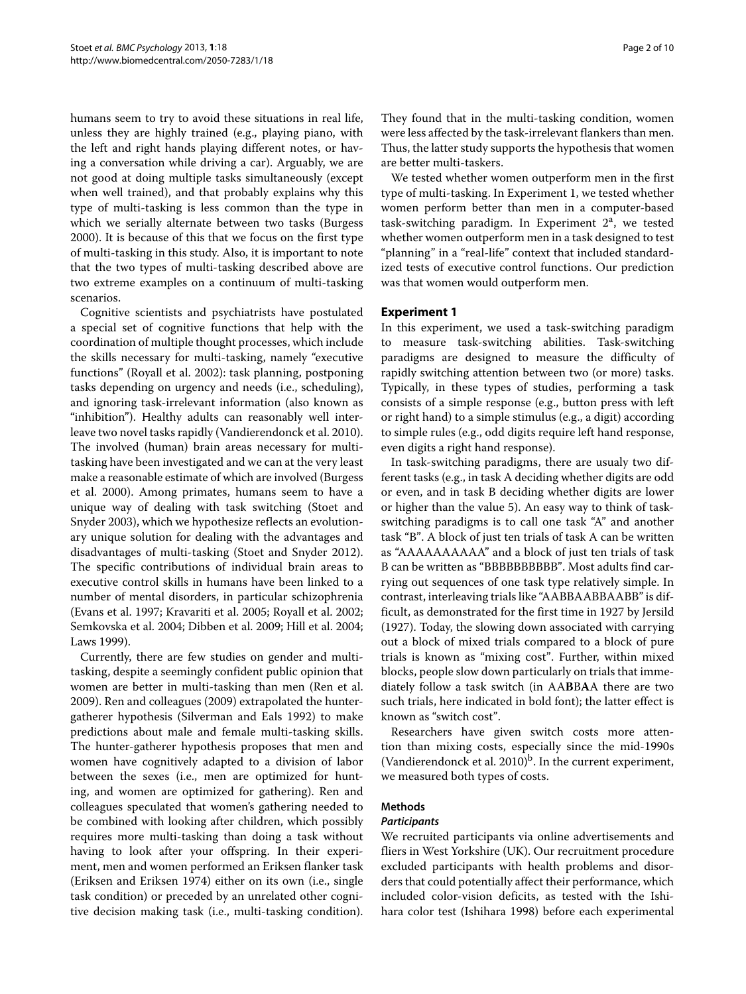humans seem to try to avoid these situations in real life, unless they are highly trained (e.g., playing piano, with the left and right hands playing different notes, or having a conversation while driving a car). Arguably, we are not good at doing multiple tasks simultaneously (except when well trained), and that probably explains why this type of multi-tasking is less common than the type in which we serially alternate between two tasks (Burgess [2000\)](#page-8-7). It is because of this that we focus on the first type of multi-tasking in this study. Also, it is important to note that the two types of multi-tasking described above are two extreme examples on a continuum of multi-tasking scenarios.

Cognitive scientists and psychiatrists have postulated a special set of cognitive functions that help with the coordination of multiple thought processes, which include the skills necessary for multi-tasking, namely "executive functions" (Royall et al. [2002\)](#page-8-8): task planning, postponing tasks depending on urgency and needs (i.e., scheduling), and ignoring task-irrelevant information (also known as "inhibition"). Healthy adults can reasonably well interleave two novel tasks rapidly (Vandierendonck et al. [2010\)](#page-9-1). The involved (human) brain areas necessary for multitasking have been investigated and we can at the very least make a reasonable estimate of which are involved (Burgess et al. [2000\)](#page-8-9). Among primates, humans seem to have a unique way of dealing with task switching (Stoet and Snyder [2003\)](#page-9-2), which we hypothesize reflects an evolutionary unique solution for dealing with the advantages and disadvantages of multi-tasking (Stoet and Snyder [2012\)](#page-9-3). The specific contributions of individual brain areas to executive control skills in humans have been linked to a number of mental disorders, in particular schizophrenia (Evans et al. [1997;](#page-8-10) Kravariti et al. [2005;](#page-8-11) Royall et al. [2002;](#page-8-8) Semkovska et al. [2004;](#page-8-12) Dibben et al. [2009;](#page-8-13) Hill et al. [2004;](#page-8-14) Laws [1999\)](#page-8-15).

Currently, there are few studies on gender and multitasking, despite a seemingly confident public opinion that women are better in multi-tasking than men (Ren et al. [2009\)](#page-8-16). Ren and colleagues [\(2009\)](#page-8-16) extrapolated the huntergatherer hypothesis (Silverman and Eals [1992\)](#page-8-17) to make predictions about male and female multi-tasking skills. The hunter-gatherer hypothesis proposes that men and women have cognitively adapted to a division of labor between the sexes (i.e., men are optimized for hunting, and women are optimized for gathering). Ren and colleagues speculated that women's gathering needed to be combined with looking after children, which possibly requires more multi-tasking than doing a task without having to look after your offspring. In their experiment, men and women performed an Eriksen flanker task (Eriksen and Eriksen [1974\)](#page-8-18) either on its own (i.e., single task condition) or preceded by an unrelated other cognitive decision making task (i.e., multi-tasking condition).

They found that in the multi-tasking condition, women were less affected by the task-irrelevant flankers than men. Thus, the latter study supports the hypothesis that women are better multi-taskers.

We tested whether women outperform men in the first type of multi-tasking. In Experiment [1,](#page-1-0) we tested whether women perform better than men in a computer-based task-switching paradigm. In Experiment  $2<sup>a</sup>$ , we tested whether women outperform men in a task designed to test "planning" in a "real-life" context that included standardized tests of executive control functions. Our prediction was that women would outperform men.

#### <span id="page-1-0"></span>**Experiment 1**

In this experiment, we used a task-switching paradigm to measure task-switching abilities. Task-switching paradigms are designed to measure the difficulty of rapidly switching attention between two (or more) tasks. Typically, in these types of studies, performing a task consists of a simple response (e.g., button press with left or right hand) to a simple stimulus (e.g., a digit) according to simple rules (e.g., odd digits require left hand response, even digits a right hand response).

In task-switching paradigms, there are usualy two different tasks (e.g., in task A deciding whether digits are odd or even, and in task B deciding whether digits are lower or higher than the value 5). An easy way to think of taskswitching paradigms is to call one task "A" and another task "B". A block of just ten trials of task A can be written as "AAAAAAAAAA" and a block of just ten trials of task B can be written as "BBBBBBBBBB". Most adults find carrying out sequences of one task type relatively simple. In contrast, interleaving trials like "AABBAABBAABB" is difficult, as demonstrated for the first time in 1927 by Jersild [\(1927\)](#page-8-19). Today, the slowing down associated with carrying out a block of mixed trials compared to a block of pure trials is known as "mixing cost". Further, within mixed blocks, people slow down particularly on trials that immediately follow a task switch (in AA**B**B**A**A there are two such trials, here indicated in bold font); the latter effect is known as "switch cost".

Researchers have given switch costs more attention than mixing costs, especially since the mid-1990s (Vandierendonck et al.  $2010$ <sup>b</sup>. In the current experiment, we measured both types of costs.

#### **Methods**

#### *Participants*

We recruited participants via online advertisements and fliers in West Yorkshire (UK). Our recruitment procedure excluded participants with health problems and disorders that could potentially affect their performance, which included color-vision deficits, as tested with the Ishihara color test (Ishihara [1998\)](#page-8-20) before each experimental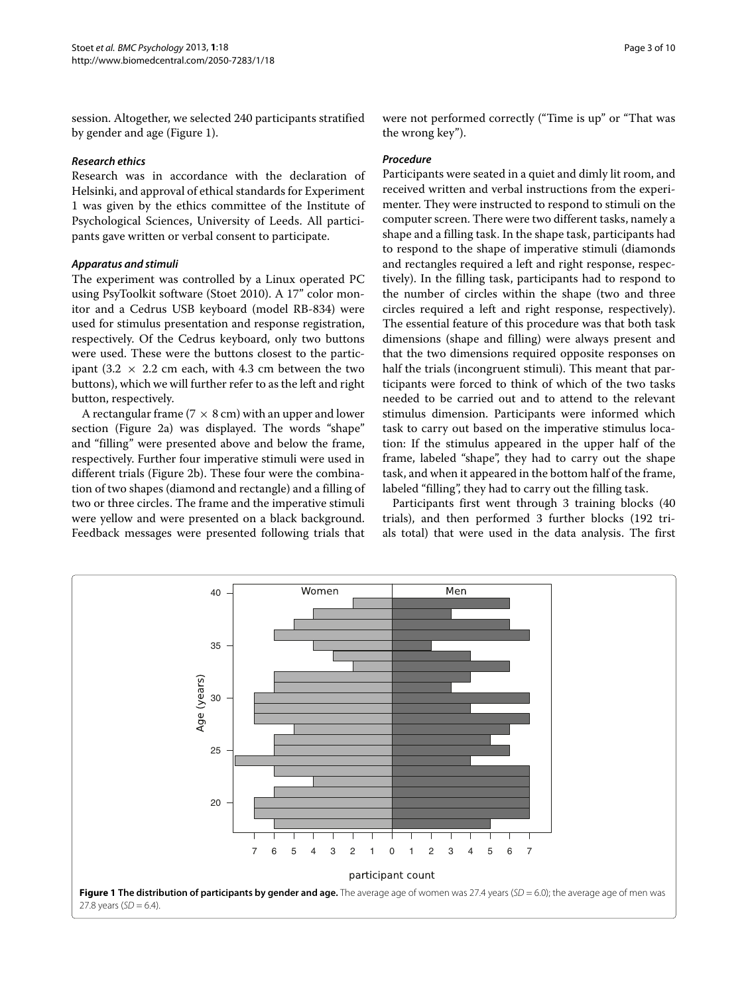session. Altogether, we selected 240 participants stratified by gender and age (Figure [1\)](#page-2-0).

### *Research ethics*

Research was in accordance with the declaration of Helsinki, and approval of ethical standards for Experiment [1](#page-1-0) was given by the ethics committee of the Institute of Psychological Sciences, University of Leeds. All participants gave written or verbal consent to participate.

# *Apparatus and stimuli*

The experiment was controlled by a Linux operated PC using PsyToolkit software (Stoet [2010\)](#page-9-4). A 17" color monitor and a Cedrus USB keyboard (model RB-834) were used for stimulus presentation and response registration, respectively. Of the Cedrus keyboard, only two buttons were used. These were the buttons closest to the participant (3.2  $\times$  2.2 cm each, with 4.3 cm between the two buttons), which we will further refer to as the left and right button, respectively.

A rectangular frame ( $7 \times 8$  cm) with an upper and lower section (Figure [2a](#page-3-0)) was displayed. The words "shape" and "filling" were presented above and below the frame, respectively. Further four imperative stimuli were used in different trials (Figure [2b](#page-3-0)). These four were the combination of two shapes (diamond and rectangle) and a filling of two or three circles. The frame and the imperative stimuli were yellow and were presented on a black background. Feedback messages were presented following trials that

were not performed correctly ("Time is up" or "That was the wrong key").

# *Procedure*

Participants were seated in a quiet and dimly lit room, and received written and verbal instructions from the experimenter. They were instructed to respond to stimuli on the computer screen. There were two different tasks, namely a shape and a filling task. In the shape task, participants had to respond to the shape of imperative stimuli (diamonds and rectangles required a left and right response, respectively). In the filling task, participants had to respond to the number of circles within the shape (two and three circles required a left and right response, respectively). The essential feature of this procedure was that both task dimensions (shape and filling) were always present and that the two dimensions required opposite responses on half the trials (incongruent stimuli). This meant that participants were forced to think of which of the two tasks needed to be carried out and to attend to the relevant stimulus dimension. Participants were informed which task to carry out based on the imperative stimulus location: If the stimulus appeared in the upper half of the frame, labeled "shape", they had to carry out the shape task, and when it appeared in the bottom half of the frame, labeled "filling", they had to carry out the filling task.

Participants first went through 3 training blocks (40 trials), and then performed 3 further blocks (192 trials total) that were used in the data analysis. The first

<span id="page-2-0"></span>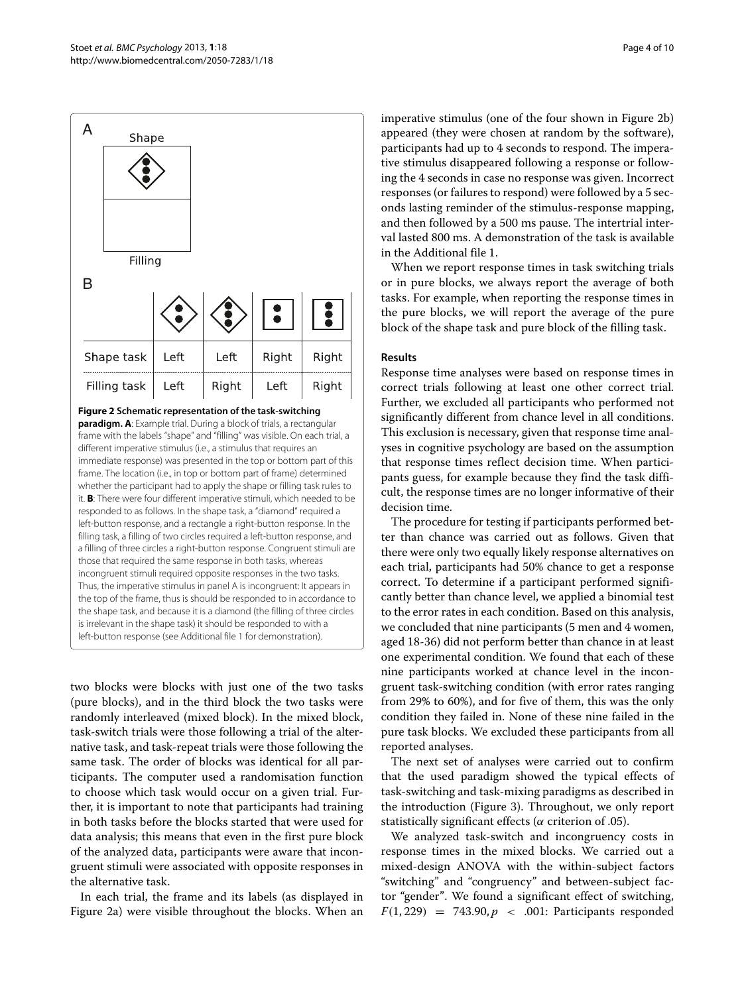

<span id="page-3-0"></span>**Figure 2 Schematic representation of the task-switching paradigm. A**: Example trial. During a block of trials, a rectangular frame with the labels "shape" and "filling" was visible. On each trial, a different imperative stimulus (i.e., a stimulus that requires an immediate response) was presented in the top or bottom part of this frame. The location (i.e., in top or bottom part of frame) determined whether the participant had to apply the shape or filling task rules to it. **B**: There were four different imperative stimuli, which needed to be responded to as follows. In the shape task, a "diamond" required a left-button response, and a rectangle a right-button response. In the filling task, a filling of two circles required a left-button response, and a filling of three circles a right-button response. Congruent stimuli are those that required the same response in both tasks, whereas incongruent stimuli required opposite responses in the two tasks. Thus, the imperative stimulus in panel A is incongruent: It appears in the top of the frame, thus is should be responded to in accordance to the shape task, and because it is a diamond (the filling of three circles is irrelevant in the shape task) it should be responded to with a left-button response (see Additional file [1](#page-8-21) for demonstration).

two blocks were blocks with just one of the two tasks (pure blocks), and in the third block the two tasks were randomly interleaved (mixed block). In the mixed block, task-switch trials were those following a trial of the alternative task, and task-repeat trials were those following the same task. The order of blocks was identical for all participants. The computer used a randomisation function to choose which task would occur on a given trial. Further, it is important to note that participants had training in both tasks before the blocks started that were used for data analysis; this means that even in the first pure block of the analyzed data, participants were aware that incongruent stimuli were associated with opposite responses in the alternative task.

In each trial, the frame and its labels (as displayed in Figure [2a](#page-3-0)) were visible throughout the blocks. When an imperative stimulus (one of the four shown in Figure [2b](#page-3-0)) appeared (they were chosen at random by the software), participants had up to 4 seconds to respond. The imperative stimulus disappeared following a response or following the 4 seconds in case no response was given. Incorrect responses (or failures to respond) were followed by a 5 seconds lasting reminder of the stimulus-response mapping, and then followed by a 500 ms pause. The intertrial interval lasted 800 ms. A demonstration of the task is available in the Additional file [1.](#page-8-21)

When we report response times in task switching trials or in pure blocks, we always report the average of both tasks. For example, when reporting the response times in the pure blocks, we will report the average of the pure block of the shape task and pure block of the filling task.

# **Results**

Response time analyses were based on response times in correct trials following at least one other correct trial. Further, we excluded all participants who performed not significantly different from chance level in all conditions. This exclusion is necessary, given that response time analyses in cognitive psychology are based on the assumption that response times reflect decision time. When participants guess, for example because they find the task difficult, the response times are no longer informative of their decision time.

The procedure for testing if participants performed better than chance was carried out as follows. Given that there were only two equally likely response alternatives on each trial, participants had 50% chance to get a response correct. To determine if a participant performed significantly better than chance level, we applied a binomial test to the error rates in each condition. Based on this analysis, we concluded that nine participants (5 men and 4 women, aged 18-36) did not perform better than chance in at least one experimental condition. We found that each of these nine participants worked at chance level in the incongruent task-switching condition (with error rates ranging from 29% to 60%), and for five of them, this was the only condition they failed in. None of these nine failed in the pure task blocks. We excluded these participants from all reported analyses.

The next set of analyses were carried out to confirm that the used paradigm showed the typical effects of task-switching and task-mixing paradigms as described in the introduction (Figure [3\)](#page-4-1). Throughout, we only report statistically significant effects (*α* criterion of .05).

We analyzed task-switch and incongruency costs in response times in the mixed blocks. We carried out a mixed-design ANOVA with the within-subject factors "switching" and "congruency" and between-subject factor "gender". We found a significant effect of switching,  $F(1, 229) = 743.90, p < .001$ : Participants responded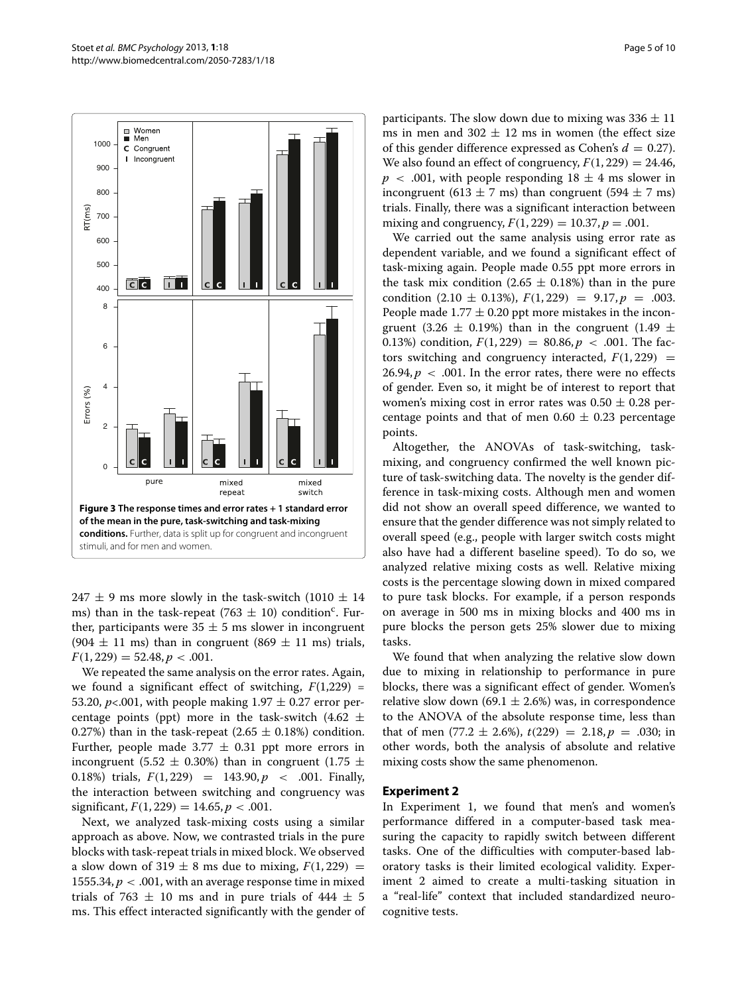

<span id="page-4-1"></span>247  $\pm$  9 ms more slowly in the task-switch (1010  $\pm$  14 ms) than in the task-repeat (763  $\pm$  10) condition<sup>c</sup>. Further, participants were  $35 \pm 5$  ms slower in incongruent (904  $\pm$  11 ms) than in congruent (869  $\pm$  11 ms) trials,  $F(1, 229) = 52.48, p < .001.$ 

We repeated the same analysis on the error rates. Again, we found a significant effect of switching,  $F(1,229) =$ 53.20,  $p<.001$ , with people making  $1.97 \pm 0.27$  error percentage points (ppt) more in the task-switch (4.62  $\pm$ 0.27%) than in the task-repeat (2.65  $\pm$  0.18%) condition. Further, people made 3.77  $\pm$  0.31 ppt more errors in incongruent (5.52  $\pm$  0.30%) than in congruent (1.75  $\pm$ 0.18%) trials, *F(*1, 229*)* = 143.90, *p <* .001. Finally, the interaction between switching and congruency was  $significant, F(1, 229) = 14.65, p < .001.$ 

Next, we analyzed task-mixing costs using a similar approach as above. Now, we contrasted trials in the pure blocks with task-repeat trials in mixed block. We observed a slow down of 319  $\pm$  8 ms due to mixing,  $F(1, 229) =$ 1555.34,  $p < .001$ , with an average response time in mixed trials of 763  $\pm$  10 ms and in pure trials of 444  $\pm$  5 ms. This effect interacted significantly with the gender of participants. The slow down due to mixing was  $336 \pm 11$ ms in men and  $302 \pm 12$  ms in women (the effect size of this gender difference expressed as Cohen's  $d = 0.27$ ). We also found an effect of congruency,  $F(1, 229) = 24.46$ ,  $p \sim .001$ , with people responding  $18 \pm 4$  ms slower in incongruent (613  $\pm$  7 ms) than congruent (594  $\pm$  7 ms) trials. Finally, there was a significant interaction between mixing and congruency,  $F(1, 229) = 10.37, p = .001$ .

We carried out the same analysis using error rate as dependent variable, and we found a significant effect of task-mixing again. People made 0.55 ppt more errors in the task mix condition (2.65  $\pm$  0.18%) than in the pure condition  $(2.10 \pm 0.13\%)$ ,  $F(1, 229) = 9.17$ ,  $p = .003$ . People made  $1.77 \pm 0.20$  ppt more mistakes in the incongruent (3.26  $\pm$  0.19%) than in the congruent (1.49  $\pm$ 0.13%) condition,  $F(1, 229) = 80.86, p < .001$ . The factors switching and congruency interacted,  $F(1, 229) =$ 26.94,  $p < .001$ . In the error rates, there were no effects of gender. Even so, it might be of interest to report that women's mixing cost in error rates was  $0.50 \pm 0.28$  percentage points and that of men  $0.60 \pm 0.23$  percentage points.

Altogether, the ANOVAs of task-switching, taskmixing, and congruency confirmed the well known picture of task-switching data. The novelty is the gender difference in task-mixing costs. Although men and women did not show an overall speed difference, we wanted to ensure that the gender difference was not simply related to overall speed (e.g., people with larger switch costs might also have had a different baseline speed). To do so, we analyzed relative mixing costs as well. Relative mixing costs is the percentage slowing down in mixed compared to pure task blocks. For example, if a person responds on average in 500 ms in mixing blocks and 400 ms in pure blocks the person gets 25% slower due to mixing tasks.

We found that when analyzing the relative slow down due to mixing in relationship to performance in pure blocks, there was a significant effect of gender. Women's relative slow down (69.1  $\pm$  2.6%) was, in correspondence to the ANOVA of the absolute response time, less than that of men  $(77.2 \pm 2.6\%)$ ,  $t(229) = 2.18$ ,  $p = .030$ ; in other words, both the analysis of absolute and relative mixing costs show the same phenomenon.

# <span id="page-4-0"></span>**Experiment 2**

In Experiment [1,](#page-1-0) we found that men's and women's performance differed in a computer-based task measuring the capacity to rapidly switch between different tasks. One of the difficulties with computer-based laboratory tasks is their limited ecological validity. Experiment [2](#page-4-0) aimed to create a multi-tasking situation in a "real-life" context that included standardized neurocognitive tests.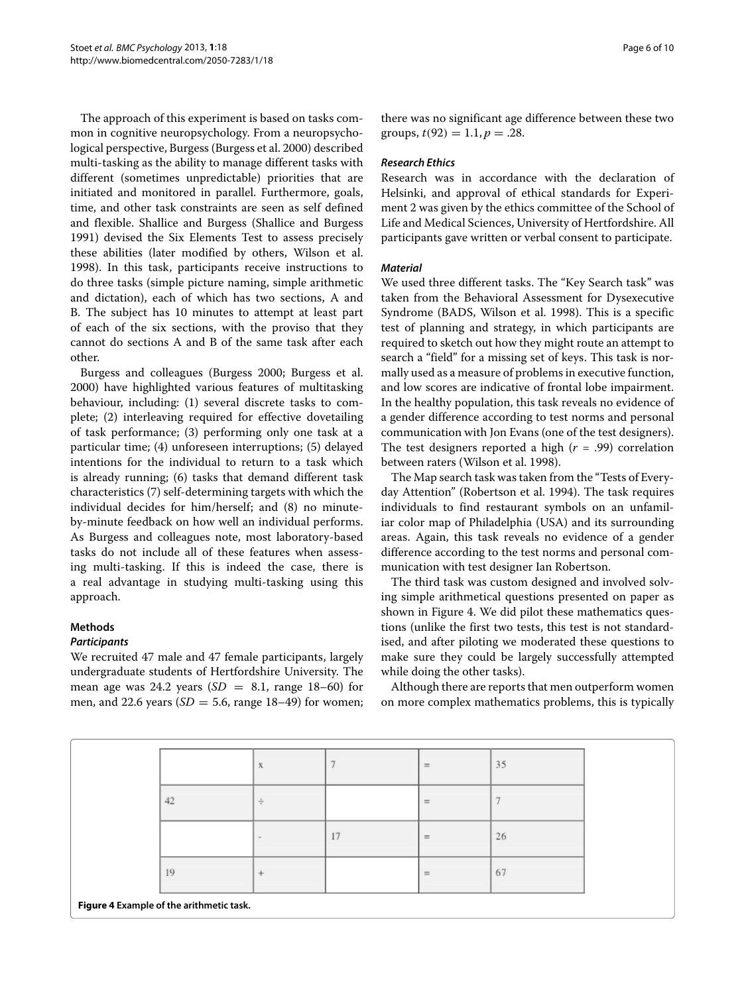The approach of this experiment is based on tasks common in cognitive neuropsychology. From a neuropsychological perspective, Burgess (Burgess et al. [2000\)](#page-8-9) described multi-tasking as the ability to manage different tasks with different (sometimes unpredictable) priorities that are initiated and monitored in parallel. Furthermore, goals, time, and other task constraints are seen as self defined and flexible. Shallice and Burgess (Shallice and Burgess [1991\)](#page-8-22) devised the Six Elements Test to assess precisely these abilities (later modified by others, Wilson et al. [1998\)](#page-9-5). In this task, participants receive instructions to do three tasks (simple picture naming, simple arithmetic and dictation), each of which has two sections, A and B. The subject has 10 minutes to attempt at least part of each of the six sections, with the proviso that they cannot do sections A and B of the same task after each other.

Burgess and colleagues (Burgess [2000;](#page-8-7) Burgess et al. [2000\)](#page-8-9) have highlighted various features of multitasking behaviour, including: (1) several discrete tasks to complete; (2) interleaving required for effective dovetailing of task performance; (3) performing only one task at a particular time; (4) unforeseen interruptions; (5) delayed intentions for the individual to return to a task which is already running; (6) tasks that demand different task characteristics (7) self-determining targets with which the individual decides for him/herself; and (8) no minuteby-minute feedback on how well an individual performs. As Burgess and colleagues note, most laboratory-based tasks do not include all of these features when assessing multi-tasking. If this is indeed the case, there is a real advantage in studying multi-tasking using this approach.

# **Methods**

# *Participants*

We recruited 47 male and 47 female participants, largely undergraduate students of Hertfordshire University. The mean age was 24.2 years  $(SD = 8.1, \text{ range } 18-60)$  for men, and 22.6 years  $(SD = 5.6)$ , range 18–49) for women; there was no significant age difference between these two groups,  $t(92) = 1.1, p = .28$ .

# *Research Ethics*

Research was in accordance with the declaration of Helsinki, and approval of ethical standards for Experiment [2](#page-4-0) was given by the ethics committee of the School of Life and Medical Sciences, University of Hertfordshire. All participants gave written or verbal consent to participate.

# *Material*

We used three different tasks. The "Key Search task" was taken from the Behavioral Assessment for Dysexecutive Syndrome (BADS, Wilson et al. [1998\)](#page-9-5). This is a specific test of planning and strategy, in which participants are required to sketch out how they might route an attempt to search a "field" for a missing set of keys. This task is normally used as a measure of problems in executive function, and low scores are indicative of frontal lobe impairment. In the healthy population, this task reveals no evidence of a gender difference according to test norms and personal communication with Jon Evans (one of the test designers). The test designers reported a high (*r* = .99) correlation between raters (Wilson et al. [1998\)](#page-9-5).

The Map search task was taken from the "Tests of Everyday Attention" (Robertson et al. [1994\)](#page-8-23). The task requires individuals to find restaurant symbols on an unfamiliar color map of Philadelphia (USA) and its surrounding areas. Again, this task reveals no evidence of a gender difference according to the test norms and personal communication with test designer Ian Robertson.

The third task was custom designed and involved solving simple arithmetical questions presented on paper as shown in Figure [4.](#page-5-0) We did pilot these mathematics questions (unlike the first two tests, this test is not standardised, and after piloting we moderated these questions to make sure they could be largely successfully attempted while doing the other tasks).

Although there are reports that men outperform women on more complex mathematics problems, this is typically

<span id="page-5-0"></span>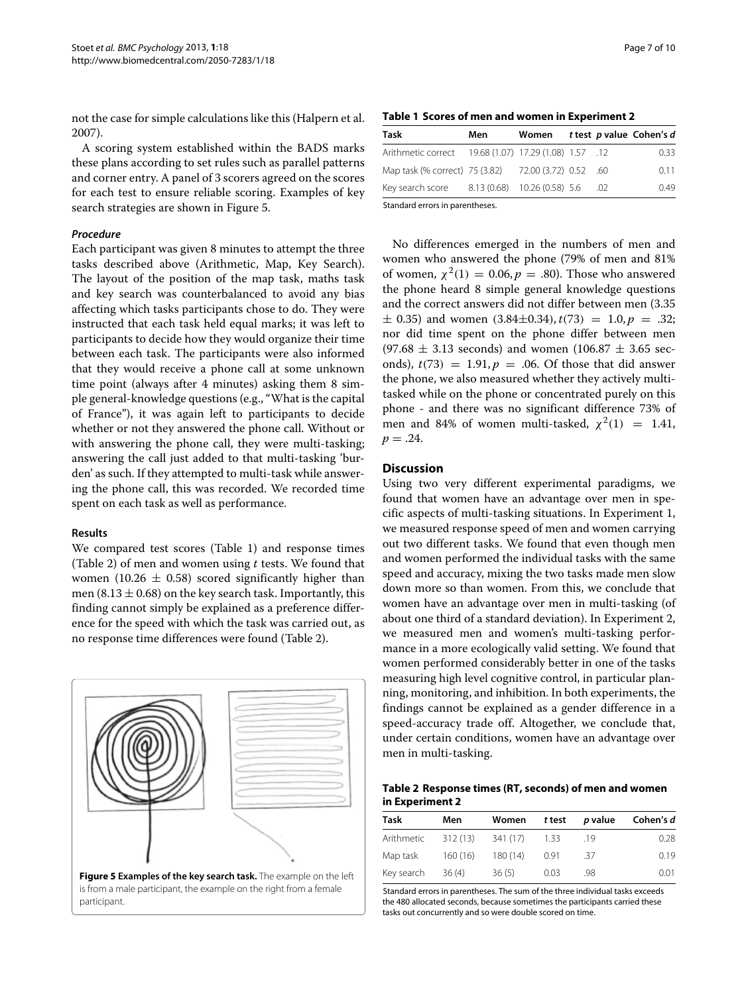not the case for simple calculations like this (Halpern et al. [2007\)](#page-8-24).

A scoring system established within the BADS marks these plans according to set rules such as parallel patterns and corner entry. A panel of 3 scorers agreed on the scores for each test to ensure reliable scoring. Examples of key search strategies are shown in Figure [5.](#page-6-0)

#### *Procedure*

Each participant was given 8 minutes to attempt the three tasks described above (Arithmetic, Map, Key Search). The layout of the position of the map task, maths task and key search was counterbalanced to avoid any bias affecting which tasks participants chose to do. They were instructed that each task held equal marks; it was left to participants to decide how they would organize their time between each task. The participants were also informed that they would receive a phone call at some unknown time point (always after 4 minutes) asking them 8 simple general-knowledge questions (e.g., "What is the capital of France"), it was again left to participants to decide whether or not they answered the phone call. Without or with answering the phone call, they were multi-tasking; answering the call just added to that multi-tasking 'burden' as such. If they attempted to multi-task while answering the phone call, this was recorded. We recorded time spent on each task as well as performance.

#### **Results**

We compared test scores (Table [1\)](#page-6-1) and response times (Table [2\)](#page-6-2) of men and women using *t* tests. We found that women (10.26  $\pm$  0.58) scored significantly higher than men (8.13  $\pm$  0.68) on the key search task. Importantly, this finding cannot simply be explained as a preference difference for the speed with which the task was carried out, as no response time differences were found (Table [2\)](#page-6-2).

<span id="page-6-0"></span>

#### **Table 1 Scores of men and women in Experiment [2](#page-4-0)**

<span id="page-6-1"></span>

| Task                                                  | Men | Women |  | t test p value Cohen's d |
|-------------------------------------------------------|-----|-------|--|--------------------------|
| Arithmetic correct 19.68 (1.07) 17.29 (1.08) 1.57 .12 |     |       |  | 0.33                     |
| Map task (% correct) 75 (3.82) 72.00 (3.72) 0.52 .60  |     |       |  | 0.11                     |
| Key search score 8.13 (0.68) 10.26 (0.58) 5.6 .02     |     |       |  | 0.49                     |
| Standard errors in parentheses.                       |     |       |  |                          |

No differences emerged in the numbers of men and women who answered the phone (79% of men and 81% of women,  $χ<sup>2</sup>(1) = 0.06, p = .80$ ). Those who answered the phone heard 8 simple general knowledge questions and the correct answers did not differ between men (3.35  $\pm$  0.35) and women (3.84 $\pm$ 0.34),  $t(73) = 1.0, p = .32;$ nor did time spent on the phone differ between men  $(97.68 \pm 3.13$  seconds) and women  $(106.87 \pm 3.65$  seconds),  $t(73) = 1.91, p = .06$ . Of those that did answer the phone, we also measured whether they actively multitasked while on the phone or concentrated purely on this phone - and there was no significant difference 73% of men and 84% of women multi-tasked,  $\chi^2(1) = 1.41$ ,  $p = .24$ .

#### **Discussion**

Using two very different experimental paradigms, we found that women have an advantage over men in specific aspects of multi-tasking situations. In Experiment [1,](#page-1-0) we measured response speed of men and women carrying out two different tasks. We found that even though men and women performed the individual tasks with the same speed and accuracy, mixing the two tasks made men slow down more so than women. From this, we conclude that women have an advantage over men in multi-tasking (of about one third of a standard deviation). In Experiment [2,](#page-4-0) we measured men and women's multi-tasking performance in a more ecologically valid setting. We found that women performed considerably better in one of the tasks measuring high level cognitive control, in particular planning, monitoring, and inhibition. In both experiments, the findings cannot be explained as a gender difference in a speed-accuracy trade off. Altogether, we conclude that, under certain conditions, women have an advantage over men in multi-tasking.

**Table 2 Response times (RT, seconds) of men and women in Experiment [2](#page-4-0)**

<span id="page-6-2"></span>

| Task       | Men      | Women    | t test | p value | Cohen's d |
|------------|----------|----------|--------|---------|-----------|
| Arithmetic | 312 (13) | 341 (17) | 1.33   | .19     | 0.28      |
| Map task   | 160(16)  | 180(14)  | 0.91   | .37     | 0.19      |
| Key search | 36(4)    | 36(5)    | 0.03   | .98     | 0.01      |

Standard errors in parentheses. The sum of the three individual tasks exceeds the 480 allocated seconds, because sometimes the participants carried these tasks out concurrently and so were double scored on time.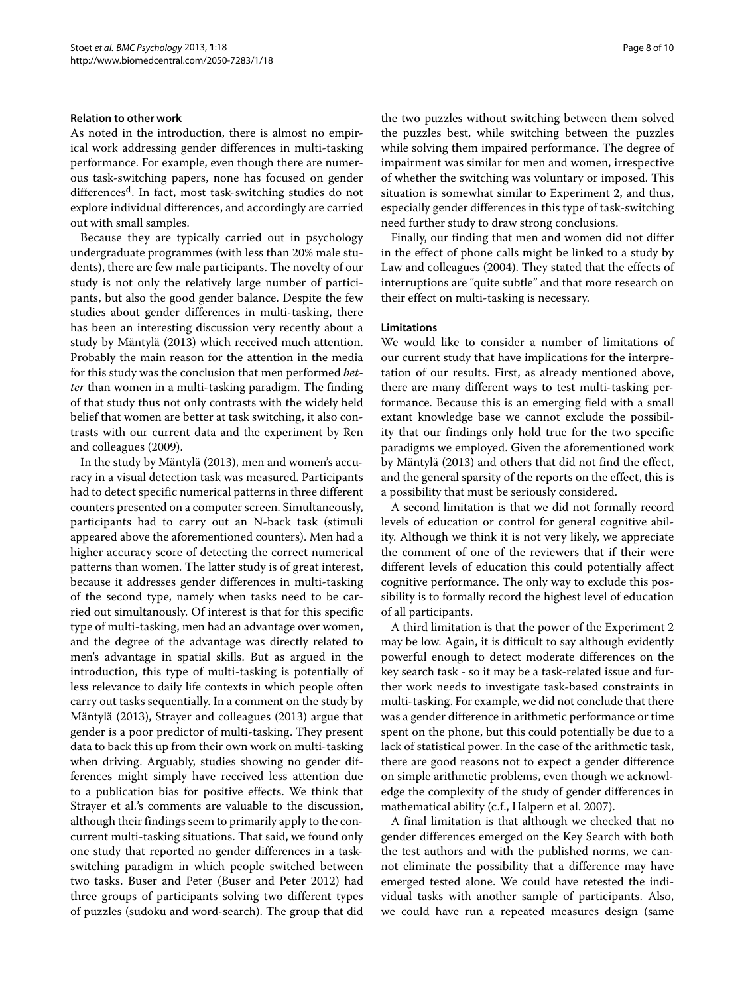#### **Relation to other work**

As noted in the introduction, there is almost no empirical work addressing gender differences in multi-tasking performance. For example, even though there are numerous task-switching papers, none has focused on gender differences<sup>d</sup>. In fact, most task-switching studies do not explore individual differences, and accordingly are carried out with small samples.

Because they are typically carried out in psychology undergraduate programmes (with less than 20% male students), there are few male participants. The novelty of our study is not only the relatively large number of participants, but also the good gender balance. Despite the few studies about gender differences in multi-tasking, there has been an interesting discussion very recently about a study by Mäntylä [\(2013\)](#page-8-0) which received much attention. Probably the main reason for the attention in the media for this study was the conclusion that men performed *better* than women in a multi-tasking paradigm. The finding of that study thus not only contrasts with the widely held belief that women are better at task switching, it also contrasts with our current data and the experiment by Ren and colleagues [\(2009\)](#page-8-16).

In the study by Mäntylä [\(2013\)](#page-8-0), men and women's accuracy in a visual detection task was measured. Participants had to detect specific numerical patterns in three different counters presented on a computer screen. Simultaneously, participants had to carry out an N-back task (stimuli appeared above the aforementioned counters). Men had a higher accuracy score of detecting the correct numerical patterns than women. The latter study is of great interest, because it addresses gender differences in multi-tasking of the second type, namely when tasks need to be carried out simultanously. Of interest is that for this specific type of multi-tasking, men had an advantage over women, and the degree of the advantage was directly related to men's advantage in spatial skills. But as argued in the introduction, this type of multi-tasking is potentially of less relevance to daily life contexts in which people often carry out tasks sequentially. In a comment on the study by Mäntylä [\(2013\)](#page-8-0), Strayer and colleagues [\(2013\)](#page-9-6) argue that gender is a poor predictor of multi-tasking. They present data to back this up from their own work on multi-tasking when driving. Arguably, studies showing no gender differences might simply have received less attention due to a publication bias for positive effects. We think that Strayer et al.'s comments are valuable to the discussion, although their findings seem to primarily apply to the concurrent multi-tasking situations. That said, we found only one study that reported no gender differences in a taskswitching paradigm in which people switched between two tasks. Buser and Peter (Buser and Peter [2012\)](#page-8-25) had three groups of participants solving two different types of puzzles (sudoku and word-search). The group that did the two puzzles without switching between them solved the puzzles best, while switching between the puzzles while solving them impaired performance. The degree of impairment was similar for men and women, irrespective of whether the switching was voluntary or imposed. This situation is somewhat similar to Experiment [2,](#page-4-0) and thus, especially gender differences in this type of task-switching need further study to draw strong conclusions.

Finally, our finding that men and women did not differ in the effect of phone calls might be linked to a study by Law and colleagues [\(2004\)](#page-8-26). They stated that the effects of interruptions are "quite subtle" and that more research on their effect on multi-tasking is necessary.

#### **Limitations**

We would like to consider a number of limitations of our current study that have implications for the interpretation of our results. First, as already mentioned above, there are many different ways to test multi-tasking performance. Because this is an emerging field with a small extant knowledge base we cannot exclude the possibility that our findings only hold true for the two specific paradigms we employed. Given the aforementioned work by Mäntylä [\(2013\)](#page-8-0) and others that did not find the effect, and the general sparsity of the reports on the effect, this is a possibility that must be seriously considered.

A second limitation is that we did not formally record levels of education or control for general cognitive ability. Although we think it is not very likely, we appreciate the comment of one of the reviewers that if their were different levels of education this could potentially affect cognitive performance. The only way to exclude this possibility is to formally record the highest level of education of all participants.

A third limitation is that the power of the Experiment [2](#page-4-0) may be low. Again, it is difficult to say although evidently powerful enough to detect moderate differences on the key search task - so it may be a task-related issue and further work needs to investigate task-based constraints in multi-tasking. For example, we did not conclude that there was a gender difference in arithmetic performance or time spent on the phone, but this could potentially be due to a lack of statistical power. In the case of the arithmetic task, there are good reasons not to expect a gender difference on simple arithmetic problems, even though we acknowledge the complexity of the study of gender differences in mathematical ability (c.f., Halpern et al. [2007\)](#page-8-24).

A final limitation is that although we checked that no gender differences emerged on the Key Search with both the test authors and with the published norms, we cannot eliminate the possibility that a difference may have emerged tested alone. We could have retested the individual tasks with another sample of participants. Also, we could have run a repeated measures design (same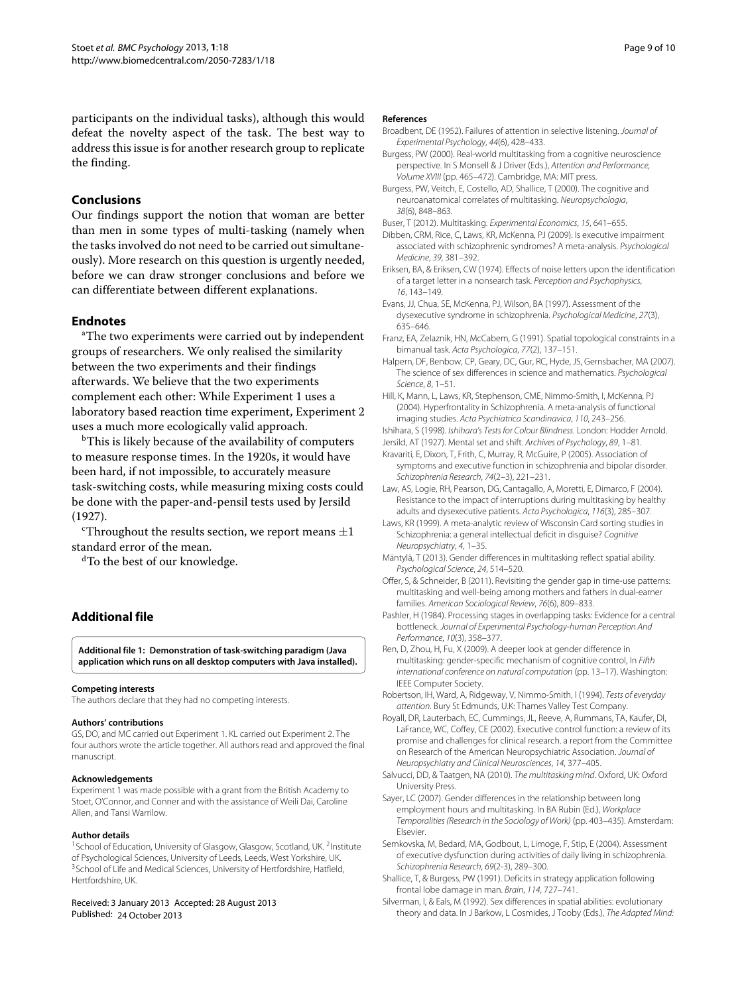participants on the individual tasks), although this would defeat the novelty aspect of the task. The best way to address this issue is for another research group to replicate the finding.

# **Conclusions**

Our findings support the notion that woman are better than men in some types of multi-tasking (namely when the tasks involved do not need to be carried out simultaneously). More research on this question is urgently needed, before we can draw stronger conclusions and before we can differentiate between different explanations.

# **Endnotes**

<sup>a</sup>The two experiments were carried out by independent groups of researchers. We only realised the similarity between the two experiments and their findings afterwards. We believe that the two experiments complement each other: While Experiment [1](#page-1-0) uses a laboratory based reaction time experiment, Experiment [2](#page-4-0) uses a much more ecologically valid approach.

<sup>b</sup>This is likely because of the availability of computers to measure response times. In the 1920s, it would have been hard, if not impossible, to accurately measure task-switching costs, while measuring mixing costs could be done with the paper-and-pensil tests used by Jersild [\(1927\)](#page-8-19).

<sup>c</sup>Throughout the results section, we report means  $\pm 1$ standard error of the mean.

dTo the best of our knowledge.

# **Additional file**

<span id="page-8-21"></span>**[Additional file 1:](http://www.biomedcentral.com/content/supplementary/2050-7283-1-18-S1.jar) Demonstration of task-switching paradigm (Java application which runs on all desktop computers with Java installed).**

#### **Competing interests**

The authors declare that they had no competing interests.

#### **Authors' contributions**

GS, DO, and MC carried out Experiment [1.](#page-1-0) KL carried out Experiment [2.](#page-4-0) The four authors wrote the article together. All authors read and approved the final manuscript.

#### **Acknowledgements**

Experiment [1](#page-1-0) was made possible with a grant from the British Academy to Stoet, O'Connor, and Conner and with the assistance of Weili Dai, Caroline Allen, and Tansi Warrilow.

#### **Author details**

<sup>1</sup> School of Education, University of Glasgow, Glasgow, Scotland, UK. <sup>2</sup>Institute of Psychological Sciences, University of Leeds, Leeds, West Yorkshire, UK. <sup>3</sup> School of Life and Medical Sciences, University of Hertfordshire, Hatfield, Hertfordshire, UK.

#### Received: 3 January 2013 Accepted: 28 August 2013 Published: 24 October 2013

#### **References**

- <span id="page-8-6"></span>Broadbent, DE (1952). Failures of attention in selective listening. Journal of Experimental Psychology, 44(6), 428–433.
- <span id="page-8-7"></span>Burgess, PW (2000). Real-world multitasking from a cognitive neuroscience perspective. In S Monsell & J Driver (Eds.), Attention and Performance, Volume XVIII (pp. 465–472). Cambridge, MA: MIT press.
- <span id="page-8-9"></span>Burgess, PW, Veitch, E, Costello, AD, Shallice, T (2000). The cognitive and neuroanatomical correlates of multitasking. Neuropsychologia, 38(6), 848–863.
- <span id="page-8-25"></span>Buser, T (2012). Multitasking. Experimental Economics, 15, 641–655.
- <span id="page-8-13"></span>Dibben, CRM, Rice, C, Laws, KR, McKenna, PJ (2009). Is executive impairment associated with schizophrenic syndromes? A meta-analysis. Psychological Medicine, 39, 381–392.
- <span id="page-8-18"></span>Eriksen, BA, & Eriksen, CW (1974). Effects of noise letters upon the identification of a target letter in a nonsearch task. Perception and Psychophysics, 16, 143–149.
- <span id="page-8-10"></span>Evans, JJ, Chua, SE, McKenna, PJ, Wilson, BA (1997). Assessment of the dysexecutive syndrome in schizophrenia. Psychological Medicine, 27(3), 635–646.
- <span id="page-8-4"></span>Franz, EA, Zelaznik, HN, McCabem, G (1991). Spatial topological constraints in a bimanual task. Acta Psychologica, 77(2), 137–151.
- <span id="page-8-24"></span>Halpern, DF, Benbow, CP, Geary, DC, Gur, RC, Hyde, JS, Gernsbacher, MA (2007). The science of sex differences in science and mathematics. Psychological Science, 8, 1–51.
- <span id="page-8-14"></span>Hill, K, Mann, L, Laws, KR, Stephenson, CME, Nimmo-Smith, I, McKenna, PJ (2004). Hyperfrontality in Schizophrenia. A meta-analysis of functional imaging studies. Acta Psychiatrica Scandinavica, 110, 243–256.
- <span id="page-8-20"></span>Ishihara, S (1998). Ishihara's Tests for Colour Blindness. London: Hodder Arnold.
- <span id="page-8-19"></span><span id="page-8-11"></span>Jersild, AT (1927). Mental set and shift. Archives of Psychology, 89, 1–81. Kravariti, E, Dixon, T, Frith, C, Murray, R, McGuire, P (2005). Association of
- symptoms and executive function in schizophrenia and bipolar disorder. Schizophrenia Research, 74(2–3), 221–231.
- <span id="page-8-26"></span>Law, AS, Logie, RH, Pearson, DG, Cantagallo, A, Moretti, E, Dimarco, F (2004). Resistance to the impact of interruptions during multitasking by healthy adults and dysexecutive patients. Acta Psychologica, 116(3), 285–307.
- <span id="page-8-15"></span>Laws, KR (1999). A meta-analytic review of Wisconsin Card sorting studies in Schizophrenia: a general intellectual deficit in disguise? Cognitive Neuropsychiatry, 4, 1–35.
- <span id="page-8-0"></span>Mäntylä, T (2013). Gender differences in multitasking reflect spatial ability. Psychological Science, 24, 514–520.
- <span id="page-8-1"></span>Offer, S, & Schneider, B (2011). Revisiting the gender gap in time-use patterns: multitasking and well-being among mothers and fathers in dual-earner families. American Sociological Review, 76(6), 809–833.
- <span id="page-8-5"></span>Pashler, H (1984). Processing stages in overlapping tasks: Evidence for a central bottleneck. Journal of Experimental Psychology-human Perception And Performance, 10(3), 358–377.
- <span id="page-8-16"></span>Ren, D, Zhou, H, Fu, X (2009). A deeper look at gender difference in multitasking: gender-specific mechanism of cognitive control, In Fifth international conference on natural computation (pp. 13–17). Washington: IEEE Computer Society.
- <span id="page-8-23"></span>Robertson, IH, Ward, A, Ridgeway, V, Nimmo-Smith, I (1994). Tests of everyday attention. Bury St Edmunds, U.K: Thames Valley Test Company.
- <span id="page-8-8"></span>Royall, DR, Lauterbach, EC, Cummings, JL, Reeve, A, Rummans, TA, Kaufer, DI, LaFrance, WC, Coffey, CE (2002). Executive control function: a review of its promise and challenges for clinical research. a report from the Committee on Research of the American Neuropsychiatric Association. Journal of Neuropsychiatry and Clinical Neurosciences, 14, 377–405.
- <span id="page-8-3"></span>Salvucci, DD, & Taatgen, NA (2010). The multitasking mind. Oxford, UK: Oxford University Press.
- <span id="page-8-2"></span>Sayer, LC (2007). Gender differences in the relationship between long employment hours and multitasking. In BA Rubin (Ed.), Workplace Temporalities (Research in the Sociology of Work) (pp. 403–435). Amsterdam: Elsevier.
- <span id="page-8-12"></span>Semkovska, M, Bedard, MA, Godbout, L, Limoge, F, Stip, E (2004). Assessment of executive dysfunction during activities of daily living in schizophrenia. Schizophrenia Research, 69(2-3), 289–300.
- <span id="page-8-22"></span>Shallice, T, & Burgess, PW (1991). Deficits in strategy application following frontal lobe damage in man. Brain, 114, 727–741.
- <span id="page-8-17"></span>Silverman, I, & Eals, M (1992). Sex differences in spatial abilities: evolutionary theory and data. In J Barkow, L Cosmides, J Tooby (Eds.), The Adapted Mind: